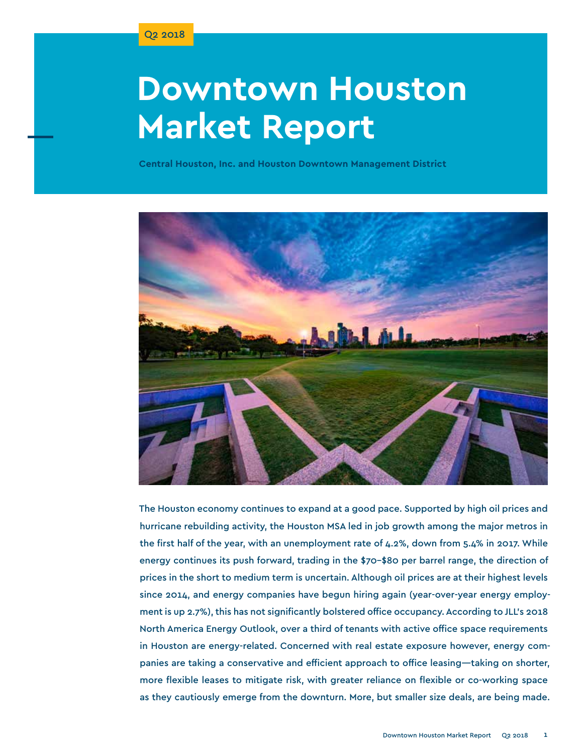# **Downtown Houston Market Report**

**Central Houston, Inc. and Houston Downtown Management District**



The Houston economy continues to expand at a good pace. Supported by high oil prices and hurricane rebuilding activity, the Houston MSA led in job growth among the major metros in the first half of the year, with an unemployment rate of 4.2%, down from 5.4% in 2017. While energy continues its push forward, trading in the \$70–\$80 per barrel range, the direction of prices in the short to medium term is uncertain. Although oil prices are at their highest levels since 2014, and energy companies have begun hiring again (year-over-year energy employment is up 2.7%), this has not significantly bolstered office occupancy. According to JLL's 2018 North America Energy Outlook, over a third of tenants with active office space requirements in Houston are energy-related. Concerned with real estate exposure however, energy companies are taking a conservative and efficient approach to office leasing—taking on shorter, more flexible leases to mitigate risk, with greater reliance on flexible or co-working space as they cautiously emerge from the downturn. More, but smaller size deals, are being made.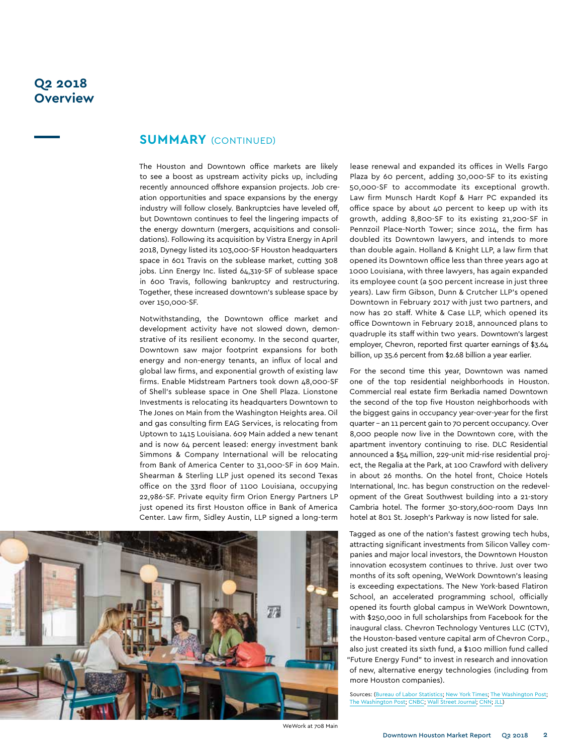## **Q2 2018 Overview**

## **summary** (continued)

The Houston and Downtown office markets are likely to see a boost as upstream activity picks up, including recently announced offshore expansion projects. Job creation opportunities and space expansions by the energy industry will follow closely. Bankruptcies have leveled off, but Downtown continues to feel the lingering impacts of the energy downturn (mergers, acquisitions and consolidations). Following its acquisition by Vistra Energy in April 2018, Dynegy listed its 103,000-SF Houston headquarters space in 601 Travis on the sublease market, cutting 308 jobs. Linn Energy Inc. listed 64,319-SF of sublease space in 600 Travis, following bankruptcy and restructuring. Together, these increased downtown's sublease space by over 150,000-SF.

Notwithstanding, the Downtown office market and development activity have not slowed down, demonstrative of its resilient economy. In the second quarter, Downtown saw major footprint expansions for both energy and non-energy tenants, an influx of local and global law firms, and exponential growth of existing law firms. Enable Midstream Partners took down 48,000-SF of Shell's sublease space in One Shell Plaza. Lionstone Investments is relocating its headquarters Downtown to The Jones on Main from the Washington Heights area. Oil and gas consulting firm EAG Services, is relocating from Uptown to 1415 Louisiana. 609 Main added a new tenant and is now 64 percent leased: energy investment bank Simmons & Company International will be relocating from Bank of America Center to 31,000-SF in 609 Main. Shearman & Sterling LLP just opened its second Texas office on the 33rd floor of 1100 Louisiana, occupying 22,986-SF. Private equity firm Orion Energy Partners LP just opened its first Houston office in Bank of America Center. Law firm, Sidley Austin, LLP signed a long-term



lease renewal and expanded its offices in Wells Fargo Plaza by 60 percent, adding 30,000-SF to its existing 50,000-SF to accommodate its exceptional growth. Law firm Munsch Hardt Kopf & Harr PC expanded its office space by about 40 percent to keep up with its growth, adding 8,800-SF to its existing 21,200-SF in Pennzoil Place-North Tower; since 2014, the firm has doubled its Downtown lawyers, and intends to more than double again. Holland & Knight LLP, a law firm that opened its Downtown office less than three years ago at 1000 Louisiana, with three lawyers, has again expanded its employee count (a 500 percent increase in just three years). Law firm Gibson, Dunn & Crutcher LLP's opened Downtown in February 2017 with just two partners, and now has 20 staff. White & Case LLP, which opened its office Downtown in February 2018, announced plans to quadruple its staff within two years. Downtown's largest employer, Chevron, reported first quarter earnings of \$3.64 billion, up 35.6 percent from \$2.68 billion a year earlier.

For the second time this year, Downtown was named one of the top residential neighborhoods in Houston. Commercial real estate firm Berkadia named Downtown the second of the top five Houston neighborhoods with the biggest gains in occupancy year-over-year for the first quarter – an 11 percent gain to 70 percent occupancy. Over 8,000 people now live in the Downtown core, with the apartment inventory continuing to rise. DLC Residential announced a \$54 million, 229-unit mid-rise residential project, the Regalia at the Park, at 100 Crawford with delivery in about 26 months. On the hotel front, Choice Hotels International, Inc. has begun construction on the redevelopment of the Great Southwest building into a 21-story Cambria hotel. The former 30-story,600-room Days Inn hotel at 801 St. Joseph's Parkway is now listed for sale.

Tagged as one of the nation's fastest growing tech hubs, attracting significant investments from Silicon Valley companies and major local investors, the Downtown Houston innovation ecosystem continues to thrive. Just over two months of its soft opening, WeWork Downtown's leasing is exceeding expectations. The New York-based Flatiron School, an accelerated programming school, officially opened its fourth global campus in WeWork Downtown, with \$250,000 in full scholarships from Facebook for the inaugural class. Chevron Technology Ventures LLC (CTV), the Houston-based venture capital arm of Chevron Corp., also just created its sixth fund, a \$100 million fund called "Future Energy Fund" to invest in research and innovation of new, alternative energy technologies (including from more Houston companies).

Sources: ([Bureau of Labor Statistics](https://www.bls.gov/bls/newsrels.htm#OEUS); [New York Times](https://www.nytimes.com/2018/06/01/business/economy/jobs-report.html); [The Washington Post;](https://www.washingtonpost.com/news/wonk/wp/2018/07/06/u-s-economy-added-213000-jobs-in-june/?noredirect=on&utm_term=.6aa7ed65b632) [The Washington Post;](https://www.washingtonpost.com/news/wonk/wp/2018/06/01/u-s-economy-continues-its-hiring-spree-and-is-projected-to-add-200000-jobs-in-may/?noredirect=on&utm_term=.c5f4920b0986) [CNBC;](https://www.cnbc.com/2018/07/06/big-oil-sowing-the-seeds-for-crude-prices-above-150-bernstein-warns.html) [Wall Street Journal](https://www.wsj.com/articles/u-s-hiring-strong-in-june-unemployment-rate-rises-as-more-enter-labor-force-1530880292); [CNN](http://money.cnn.com/2018/01/30/news/economy/us-economy-boom-history/index.html); [JLL\)](http://www.us.jll.com/united-states/en-us/research/industry/energy)

WeWork at 708 Main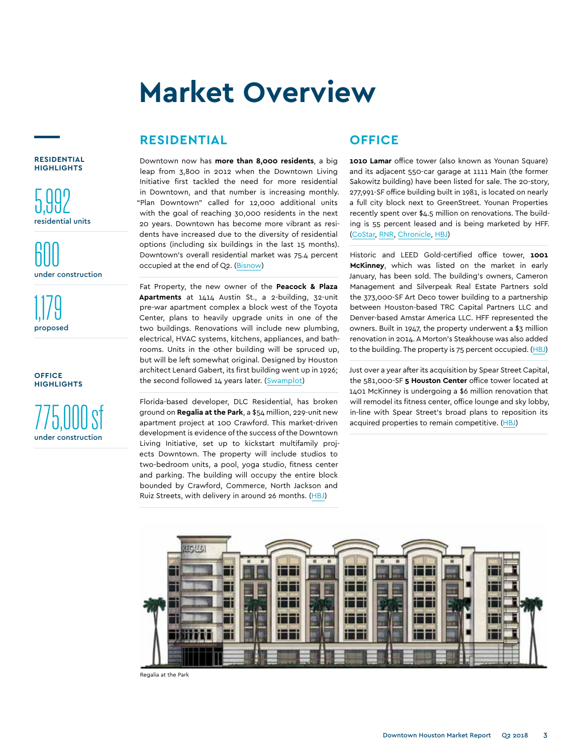## **RESIDENTIAL**

**RESIDENTIAL HIGHLIGHTS**

5,992 residential units

600 under construction

1,179 proposed

**office highlights**



Downtown now has **more than 8,000 residents**, a big leap from 3,800 in 2012 when the Downtown Living Initiative first tackled the need for more residential in Downtown, and that number is increasing monthly. "Plan Downtown" called for 12,000 additional units with the goal of reaching 30,000 residents in the next 20 years. Downtown has become more vibrant as residents have increased due to the diversity of residential options (including six buildings in the last 15 months). Downtown's overall residential market was 75.4 percent occupied at the end of Q2. ([Bisnow\)](https://www.bisnow.com/houston/news/multifamily/downtown-crossed-8000-residents-in-april-88131)

Fat Property, the new owner of the **Peacock & Plaza Apartments** at 1414 Austin St., a 2-building, 32-unit pre-war apartment complex a block west of the Toyota Center, plans to heavily upgrade units in one of the two buildings. Renovations will include new plumbing, electrical, HVAC systems, kitchens, appliances, and bathrooms. Units in the other building will be spruced up, but will be left somewhat original. Designed by Houston architect Lenard Gabert, its first building went up in 1926; the second followed 14 years later. [\(Swamplot](http://swamplot.com/the-changes-coming-to-the-pre-war-peacock-plaza-apartment-complex-downtown/2018-05-03/))

Florida-based developer, DLC Residential, has broken ground on **Regalia at the Park**, a \$54 million, 229-unit new apartment project at 100 Crawford. This market-driven development is evidence of the success of the Downtown Living Initiative, set up to kickstart multifamily projects Downtown. The property will include studios to two-bedroom units, a pool, yoga studio, fitness center and parking. The building will occupy the entire block bounded by Crawford, Commerce, North Jackson and Ruiz Streets, with delivery in around 26 months. [\(HBJ\)](https://www.bizjournals.com/houston/news/2018/04/19/exclusive-luxury-multifamily-project-to-break.html)

# **OFFICE**

**1010 Lamar** office tower (also known as Younan Square) and its adjacent 550-car garage at 1111 Main (the former Sakowitz building) have been listed for sale. The 20-story, 277,991-SF office building built in 1981, is located on nearly a full city block next to GreenStreet. Younan Properties recently spent over \$4.5 million on renovations. The building is 55 percent leased and is being marketed by HFF. [\(CoStar](http://www.costar.com/News/Article/Downtown-Department-Store-Turned-Office-Building-Hits-The-Block/201289), [RNR,](http://campaign.r20.constantcontact.com/render?m=1102184342472&ca=821dee44-0e72-425c-aa8e-0eb0b967c5c4) [Chronicle,](https://www.houstonchronicle.com/business/article/Downtown-office-tower-hits-market-as-energy-12935089.php) [HBJ](https://www.bizjournals.com/houston/news/2018/05/23/office-tower-former-sakowitz-store-in-downtown.html))

Historic and LEED Gold-certified office tower, **1001 McKinney**, which was listed on the market in early January, has been sold. The building's owners, Cameron Management and Silverpeak Real Estate Partners sold the 373,000-SF Art Deco tower building to a partnership between Houston-based TRC Capital Partners LLC and Denver-based Amstar America LLC. HFF represented the owners. Built in 1947, the property underwent a \$3 million renovation in 2014. A Morton's Steakhouse was also added to the building. The property is 75 percent occupied. ([HBJ](https://www.bizjournals.com/houston/news/2018/06/28/historic-office-tower-in-downtown-houston-trades.html))

Just over a year after its acquisition by Spear Street Capital, the 581,000-SF **5 Houston Center** office tower located at 1401 McKinney is undergoing a \$6 million renovation that will remodel its fitness center, office lounge and sky lobby, in-line with Spear Street's broad plans to reposition its acquired properties to remain competitive. [\(HBJ\)](https://www.bizjournals.com/houston/news/2018/05/10/exclusive-downtown-houston-office-tower-undergoing.html)



Regalia at the Park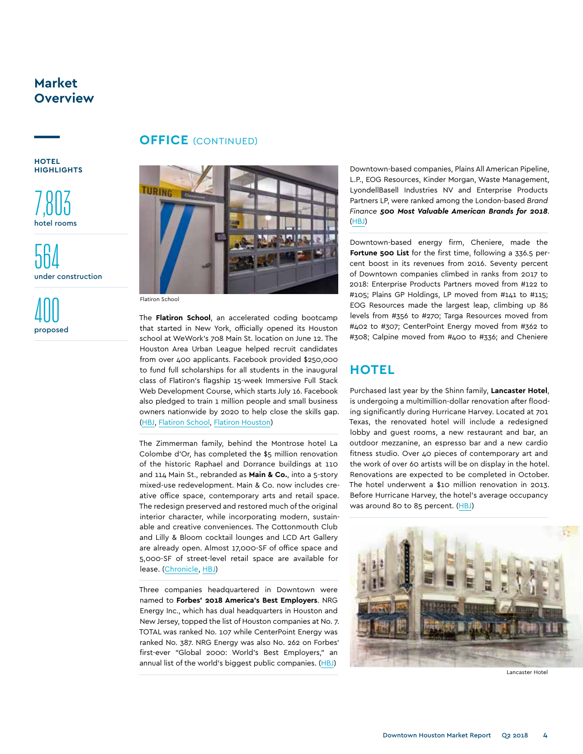**HOTEL HIGHLIGHTS**

7,803 hotel rooms

564 under construction

400 proposed

## **OFFICE** (CONTINUED)



Flatiron School

The **Flatiron School**, an accelerated coding bootcamp that started in New York, officially opened its Houston school at WeWork's 708 Main St. location on June 12. The Houston Area Urban League helped recruit candidates from over 400 applicants. Facebook provided \$250,000 to fund full scholarships for all students in the inaugural class of Flatiron's flagship 15-week Immersive Full Stack Web Development Course, which starts July 16. Facebook also pledged to train 1 million people and small business owners nationwide by 2020 to help close the skills gap. [\(HBJ](https://www.bizjournals.com/houston/news/2018/06/08/ny-coding-school-kicks-off-houston-expansion-as.html), [Flatiron School](https://flatironschool.com/houston-campus/), [Flatiron Houston](https://flatironschool.com/programs/software-engineering-immersive/houston/))

The Zimmerman family, behind the Montrose hotel La Colombe d'Or, has completed the \$5 million renovation of the historic Raphael and Dorrance buildings at 110 and 114 Main St., rebranded as **Main & Co.**, into a 5-story mixed-use redevelopment. Main & Co. now includes creative office space, contemporary arts and retail space. The redesign preserved and restored much of the original interior character, while incorporating modern, sustainable and creative conveniences. The Cottonmouth Club and Lilly & Bloom cocktail lounges and LCD Art Gallery are already open. Almost 17,000-SF of office space and 5,000-SF of street-level retail space are available for lease. [\(Chronicle](https://www.chron.com/business/real-estate/article/Historic-Main-Co-project-debuts-downtown-s-newest-13013893.php), [HBJ](https://www.bizjournals.com/houston/news/2018/06/22/photos-houston-hotelier-finishes-renovations-on.html))

Three companies headquartered in Downtown were named to **Forbes' 2018 America's Best Employers**. NRG Energy Inc., which has dual headquarters in Houston and New Jersey, topped the list of Houston companies at No. 7. TOTAL was ranked No. 107 while CenterPoint Energy was ranked No. 387. NRG Energy was also No. 262 on Forbes' first-ever "Global 2000: World's Best Employers," an annual list of the world's biggest public companies. [\(HBJ\)](https://www.bizjournals.com/houston/news/2018/05/10/see-which-houston-cos-are-among-the-countrys-top.html)

Downtown-based companies, Plains All American Pipeline, L.P., EOG Resources, Kinder Morgan, Waste Management, LyondellBasell Industries NV and Enterprise Products Partners LP, were ranked among the London-based *Brand Finance 500 Most Valuable American Brands for 2018*. [\(HBJ](https://www.bizjournals.com/houston/news/2018/06/21/study-these-houston-companies-rank-among-americas.html))

Downtown-based energy firm, Cheniere, made the **Fortune 500 List** for the first time, following a 336.5 percent boost in its revenues from 2016. Seventy percent of Downtown companies climbed in ranks from 2017 to 2018: Enterprise Products Partners moved from #122 to #105; Plains GP Holdings, LP moved from #141 to #115; EOG Resources made the largest leap, climbing up 86 levels from #356 to #270; Targa Resources moved from #402 to #307; CenterPoint Energy moved from #362 to #308; Calpine moved from #400 to #336; and Cheniere

## **HOTEL**

Purchased last year by the Shinn family, **Lancaster Hotel**, is undergoing a multimillion-dollar renovation after flooding significantly during Hurricane Harvey. Located at 701 Texas, the renovated hotel will include a redesigned lobby and guest rooms, a new restaurant and bar, an outdoor mezzanine, an espresso bar and a new cardio fitness studio. Over 40 pieces of contemporary art and the work of over 60 artists will be on display in the hotel. Renovations are expected to be completed in October. The hotel underwent a \$10 million renovation in 2013. Before Hurricane Harvey, the hotel's average occupancy was around 80 to 85 percent. ([HBJ](https://www.bizjournals.com/houston/news/2018/04/18/exclusive-nearly-100-year-old-downtown-hotel-to.html))



Lancaster Hotel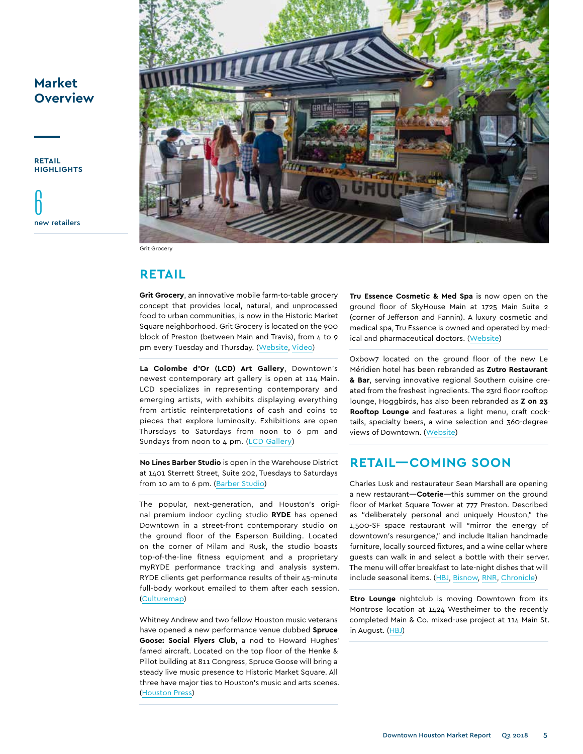**retail highlights**





## **retail**

**Grit Grocery**, an innovative mobile farm-to-table grocery concept that provides local, natural, and unprocessed food to urban communities, is now in the Historic Market Square neighborhood. Grit Grocery is located on the 900 block of Preston (between Main and Travis), from  $4$  to 9 pm every Tuesday and Thursday. ([Website,](https://gritgrocery.com/?List&utm_term=0_0001e000b3-c15cef9696-274261269) [Video](https://www.downtownhouston.org/news/#section_videos))

**La Colombe d'Or (LCD) Art Gallery**, Downtown's newest contemporary art gallery is open at 114 Main. LCD specializes in representing contemporary and emerging artists, with exhibits displaying everything from artistic reinterpretations of cash and coins to pieces that explore luminosity. Exhibitions are open Thursdays to Saturdays from noon to 6 pm and Sundays from noon to 4 pm. [\(LCD Gallery\)](https://www.lcdgallery.com/?utm_source=The+List&utm_campaign=bb74f0df46-EMAIL_CAMPAIGN_2017_08_11_COPY_01&utm_medium=email&utm_term=0_0001e000b3-bb74f0df46-274261269)

**No Lines Barber Studio** is open in the Warehouse District at 1401 Sterrett Street, Suite 202, Tuesdays to Saturdays from 10 am to 6 pm. [\(Barber Studio\)](https://www.facebook.com/NoLinesbarber/)

The popular, next-generation, and Houston's original premium indoor cycling studio **RYDE** has opened Downtown in a street-front contemporary studio on the ground floor of the Esperson Building. Located on the corner of Milam and Rusk, the studio boasts top-of-the-line fitness equipment and a proprietary myRYDE performance tracking and analysis system. RYDE clients get performance results of their 45-minute full-body workout emailed to them after each session. [\(Culturemap](http://houston.culturemap.com/news/city-life/05-16-18-houston-downtown-premium-indoor-cycling-ryde-open/#slide=0))

Whitney Andrew and two fellow Houston music veterans have opened a new performance venue dubbed **Spruce Goose: Social Flyers Club**, a nod to Howard Hughes' famed aircraft. Located on the top floor of the Henke & Pillot building at 811 Congress, Spruce Goose will bring a steady live music presence to Historic Market Square. All three have major ties to Houston's music and arts scenes. [\(Houston Press\)](http://www.houstonpress.com/music/upstart-spruce-goose-is-soaring-10447678)

**Tru Essence Cosmetic & Med Spa** is now open on the ground floor of SkyHouse Main at 1725 Main Suite 2 (corner of Jefferson and Fannin). A luxury cosmetic and medical spa, Tru Essence is owned and operated by medical and pharmaceutical doctors. ([Website](http://truessencespa.com/))

Oxbow7 located on the ground floor of the new Le Méridien hotel has been rebranded as **Zutro Restaurant & Bar**, serving innovative regional Southern cuisine created from the freshest ingredients. The 23rd floor rooftop lounge, Hoggbirds, has also been rebranded as **Z on 23 Rooftop Lounge** and features a light menu, craft cocktails, specialty beers, a wine selection and 360-degree views of Downtown. ([Website](http://www.lemeridienhoustondowntown.com/houston-restaurants))

## **Retail—Coming soon**

Charles Lusk and restaurateur Sean Marshall are opening a new restaurant—**Coterie**—this summer on the ground floor of Market Square Tower at 777 Preston. Described as "deliberately personal and uniquely Houston," the 1,500-SF space restaurant will "mirror the energy of downtown's resurgence," and include Italian handmade furniture, locally sourced fixtures, and a wine cellar where guests can walk in and select a bottle with their server. The menu will offer breakfast to late-night dishes that will include seasonal items. [\(HBJ,](https://www.bizjournals.com/houston/news/2018/04/11/downtownhouston-s-tallest-residential-tower-to-add.html) [Bisnow,](https://www.bisnow.com/houston/news/retail/market-square-announces-coterie-as-restaurant-tenant-87280) [RNR](http://realtynewsreport.com/2018/04/12/restaurant-coming-to-new-downtown-apartment-tower/), [Chronicle\)](https://www.chron.com/entertainment/restaurants-bars/article/Coterie-restaurant-moving-into-downtown-high-rise-12828795.php)

**Etro Lounge** nightclub is moving Downtown from its Montrose location at 1424 Westheimer to the recently completed Main & Co. mixed-use project at 114 Main St. in August. [\(HBJ\)](https://www.bizjournals.com/houston/news/2018/06/29/anvil-owner-to-take-over-adjacent-space-after.html)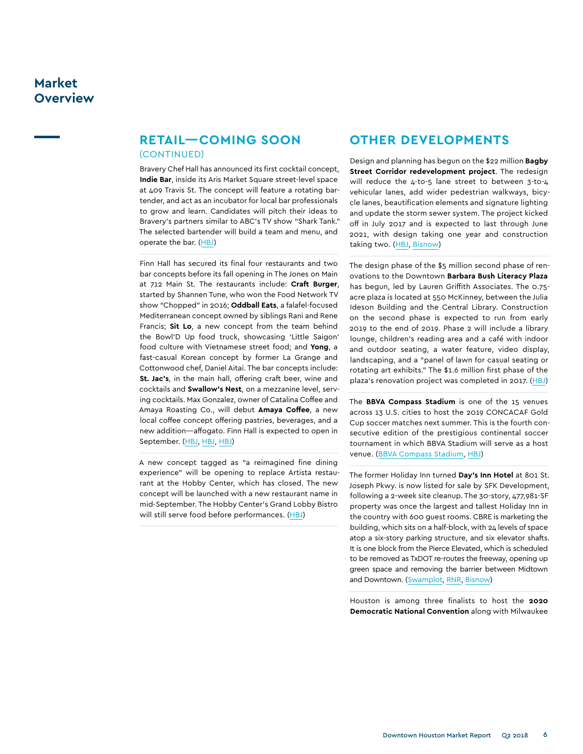## **retail—COMING SOON**  (continued)

Bravery Chef Hall has announced its first cocktail concept, **Indie Bar**, inside its Aris Market Square street-level space at 409 Travis St. The concept will feature a rotating bartender, and act as an incubator for local bar professionals to grow and learn. Candidates will pitch their ideas to Bravery's partners similar to ABC's TV show "Shark Tank." The selected bartender will build a team and menu, and operate the bar. ([HBJ\)](https://www.bizjournals.com/houston/news/2018/04/25/bravery-chef-hall-in-downtown-houstonannounces.html)

Finn Hall has secured its final four restaurants and two bar concepts before its fall opening in The Jones on Main at 712 Main St. The restaurants include: **Craft Burger**, started by Shannen Tune, who won the Food Network TV show "Chopped" in 2016; **Oddball Eats**, a falafel-focused Mediterranean concept owned by siblings Rani and Rene Francis; **Sit Lo**, a new concept from the team behind the Bowl'D Up food truck, showcasing 'Little Saigon' food culture with Vietnamese street food; and **Yong**, a fast-casual Korean concept by former La Grange and Cottonwood chef, Daniel Aitai. The bar concepts include: **St. Jac's**, in the main hall, offering craft beer, wine and cocktails and **Swallow's Nest**, on a mezzanine level, serving cocktails. Max Gonzalez, owner of Catalina Coffee and Amaya Roasting Co., will debut **Amaya Coffee**, a new local coffee concept offering pastries, beverages, and a new addition—affogato. Finn Hall is expected to open in September. [\(HBJ,](https://www.bizjournals.com/houston/news/2018/04/17/local-coffee-concept-coming-to-upcoming-downtown.html) [HBJ,](https://www.bizjournals.com/houston/news/2018/06/22/restaurant-roundup-district-west-landsanother.html) [HBJ\)](https://www.bizjournals.com/houston/news/2018/05/02/upcoming-downtown-food-hall-names-final-4-concepts.html)

A new concept tagged as "a reimagined fine dining experience" will be opening to replace Artista restaurant at the Hobby Center, which has closed. The new concept will be launched with a new restaurant name in mid-September. The Hobby Center's Grand Lobby Bistro will still serve food before performances. [\(HBJ](https://www.bizjournals.com/houston/news/2018/05/30/artista-at-the-hobby-center-closes-new-concept-to.html))

## **Other Developments**

Design and planning has begun on the \$22 million **Bagby Street Corridor redevelopment project**. The redesign will reduce the 4-to-5 lane street to between 3-to-4 vehicular lanes, add wider pedestrian walkways, bicycle lanes, beautification elements and signature lighting and update the storm sewer system. The project kicked off in July 2017 and is expected to last through June 2021, with design taking one year and construction taking two. [\(HBJ](https://www.bizjournals.com/houston/news/2018/05/08/houston-s-downtown-redevelopment-authority-picks.html), [Bisnow\)](https://www.bisnow.com/houston/news/mixed-use/with-jones-plaza-and-bagby-street-redevelopment-theater-district-kicks-off-major-master-plan-87783)

The design phase of the \$5 million second phase of renovations to the Downtown **Barbara Bush Literacy Plaza** has begun, led by Lauren Griffith Associates. The 0.75 acre plaza is located at 550 McKinney, between the Julia Ideson Building and the Central Library. Construction on the second phase is expected to run from early 2019 to the end of 2019. Phase 2 will include a library lounge, children's reading area and a café with indoor and outdoor seating, a water feature, video display, landscaping, and a "panel of lawn for casual seating or rotating art exhibits." The \$1.6 million first phase of the plaza's renovation project was completed in 2017. [\(HBJ](https://www.bizjournals.com/houston/news/2018/06/13/houston-public-librarys-downtown-plaza-to-undergo.html))

The **BBVA Compass Stadium** is one of the 15 venues across 13 U.S. cities to host the 2019 CONCACAF Gold Cup soccer matches next summer. This is the fourth consecutive edition of the prestigious continental soccer tournament in which BBVA Stadium will serve as a host venue. [\(BBVA Compass Stadium,](http://www.bbvacompassstadium.com/news/detail/2019-concacaf-gold-cup-returns-to-bbva-compass-stadium) [HBJ](https://www.bizjournals.com/houston/news/2018/05/17/concacaf-gold-cup-coming-back-to-houston.html))

The former Holiday Inn turned **Day's Inn Hotel** at 801 St. Joseph Pkwy. is now listed for sale by SFK Development, following a 2-week site cleanup. The 30-story, 477,981-SF property was once the largest and tallest Holiday Inn in the country with 600 guest rooms. CBRE is marketing the building, which sits on a half-block, with 24 levels of space atop a six-story parking structure, and six elevator shafts. It is one block from the Pierce Elevated, which is scheduled to be removed as TxDOT re-routes the freeway, opening up green space and removing the barrier between Midtown and Downtown. [\(Swamplot,](http://swamplot.com/downtown-houstons-foremost-abandoned-building-now-listed-for-sale/2018-04-25/)) [RNR,](http://campaign.r20.constantcontact.com/render?m=1102184342472&ca=4ebc8c27-91a5-49fe-84a7-35ee7847d366) [Bisnow\)](https://www.bisnow.com/houston/news/other/clean-up-crews-working-on-downtowns-biggest-blight-87540)

Houston is among three finalists to host the **2020 Democratic National Convention** along with Milwaukee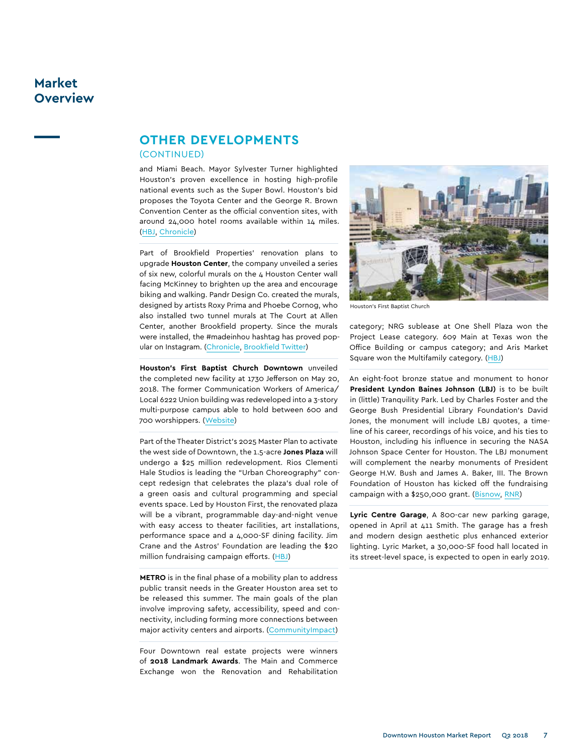## **other developments**  (continued)

and Miami Beach. Mayor Sylvester Turner highlighted Houston's proven excellence in hosting high-profile national events such as the Super Bowl. Houston's bid proposes the Toyota Center and the George R. Brown Convention Center as the official convention sites, with around 24,000 hotel rooms available within 14 miles. [\(HBJ](https://www.bizjournals.com/houston/news/2018/06/20/houston-among-3-finalists-for-2020-democratic.html), [Chronicle\)](https://www.chron.com/news/politics/houston/article/Houston-s-bid-for-the-2020-Democratic-National-13010304.php)

Part of Brookfield Properties' renovation plans to upgrade **Houston Center**, the company unveiled a series of six new, colorful murals on the 4 Houston Center wall facing McKinney to brighten up the area and encourage biking and walking. Pandr Design Co. created the murals, designed by artists Roxy Prima and Phoebe Cornog, who also installed two tunnel murals at The Court at Allen Center, another Brookfield property. Since the murals were installed, the #madeinhou hashtag has proved popular on Instagram. [\(Chronicle,](https://www.chron.com/news/houston-texas/houston/article/New-colorful-murals-brighten-up-downtown-Houston-12984287.php) [Brookfield Twitter](https://twitter.com/brookfieldhtx/status/1002220428021166080))

**Houston's First Baptist Church Downtown** unveiled the completed new facility at 1730 Jefferson on May 20, 2018. The former Communication Workers of America/ Local 6222 Union building was redeveloped into a 3-story multi-purpose campus able to hold between 600 and 700 worshippers. [\(Website](https://houstonsfirst.org/downtown/))

Part of the Theater District's 2025 Master Plan to activate the west side of Downtown, the 1.5-acre **Jones Plaza** will undergo a \$25 million redevelopment. Rios Clementi Hale Studios is leading the "Urban Choreography" concept redesign that celebrates the plaza's dual role of a green oasis and cultural programming and special events space. Led by Houston First, the renovated plaza will be a vibrant, programmable day-and-night venue with easy access to theater facilities, art installations, performance space and a 4,000-SF dining facility. Jim Crane and the Astros' Foundation are leading the \$20 million fundraising campaign efforts. ([HBJ\)](https://www.bizjournals.com/houston/news/2018/04/24/20m-renovation-project-planned-for-jones-plaza-in.html)

**METRO** is in the final phase of a mobility plan to address public transit needs in the Greater Houston area set to be released this summer. The main goals of the plan involve improving safety, accessibility, speed and connectivity, including forming more connections between major activity centers and airports. ([CommunityImpact](https://communityimpact.com/houston/cy-fair/news/2018/04/18/metro-plan-on-houstons-public-transit-needs-to-be-released-this-summer))

Four Downtown real estate projects were winners of **2018 Landmark Awards**. The Main and Commerce Exchange won the Renovation and Rehabilitation



Houston's First Baptist Church

category; NRG sublease at One Shell Plaza won the Project Lease category. 609 Main at Texas won the Office Building or campus category; and Aris Market Square won the Multifamily category. [\(HBJ](https://www.bizjournals.com/houston/news/2018/04/19/hbj-names-top-real-estate-projects-aswinners-of.html))

An eight-foot bronze statue and monument to honor **President Lyndon Baines Johnson (LBJ)** is to be built in (little) Tranquility Park. Led by Charles Foster and the George Bush Presidential Library Foundation's David Jones, the monument will include LBJ quotes, a timeline of his career, recordings of his voice, and his ties to Houston, including his influence in securing the NASA Johnson Space Center for Houston. The LBJ monument will complement the nearby monuments of President George H.W. Bush and James A. Baker, III. The Brown Foundation of Houston has kicked off the fundraising campaign with a \$250,000 grant. ([Bisnow](https://www.bisnow.com/houston/news/deal-sheet/this-weeks-houston-deal-sheet-89200), [RNR\)](http://campaign.r20.constantcontact.com/render?m=1102184342472&ca=d54ee5bf-0279-4d83-a8a9-68c096b95e97)

**Lyric Centre Garage**, A 800-car new parking garage, opened in April at 411 Smith. The garage has a fresh and modern design aesthetic plus enhanced exterior lighting. Lyric Market, a 30,000-SF food hall located in its street-level space, is expected to open in early 2019.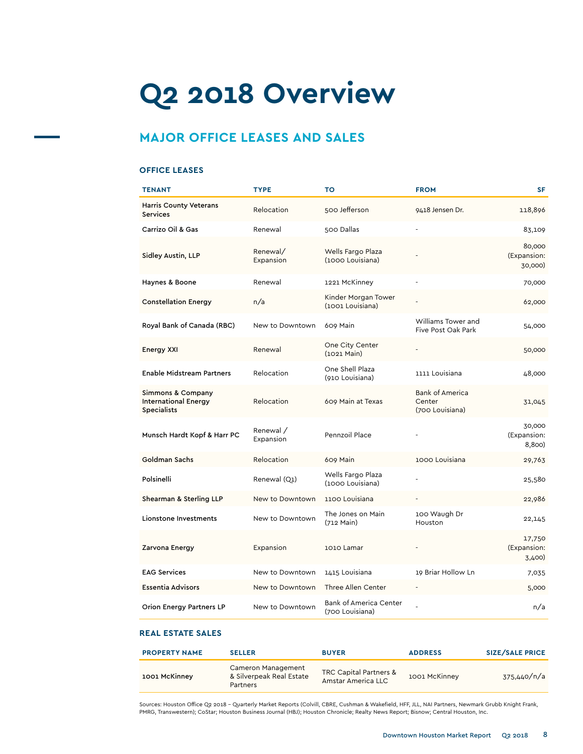# **Q2 2018 Overview**

# **MAJOR OFFICE LEASES AND SALES**

## **office leases**

| <b>TENANT</b>                                                          | <b>TYPE</b>            | то                                               | <b>FROM</b>                                         | <b>SF</b>                        |
|------------------------------------------------------------------------|------------------------|--------------------------------------------------|-----------------------------------------------------|----------------------------------|
| <b>Harris County Veterans</b><br><b>Services</b>                       | Relocation             | 500 Jefferson                                    | 9418 Jensen Dr.                                     | 118,896                          |
| Carrizo Oil & Gas                                                      | Renewal                | 500 Dallas                                       |                                                     | 83,109                           |
| Sidley Austin, LLP                                                     | Renewal/<br>Expansion  | Wells Fargo Plaza<br>(1000 Louisiana)            |                                                     | 80,000<br>(Expansion:<br>30,000) |
| Haynes & Boone                                                         | Renewal                | 1221 McKinney                                    |                                                     | 70,000                           |
| <b>Constellation Energy</b>                                            | n/a                    | Kinder Morgan Tower<br>(1001 Louisiana)          |                                                     | 62,000                           |
| Royal Bank of Canada (RBC)                                             | New to Downtown        | 609 Main                                         | Williams Tower and<br>Five Post Oak Park            | 54,000                           |
| Energy XXI                                                             | Renewal                | One City Center<br>$(1021$ Main)                 |                                                     | 50,000                           |
| <b>Enable Midstream Partners</b>                                       | Relocation             | One Shell Plaza<br>(910 Louisiana)               | 1111 Louisiana                                      | 48,000                           |
| Simmons & Company<br><b>International Energy</b><br><b>Specialists</b> | Relocation             | 609 Main at Texas                                | <b>Bank of America</b><br>Center<br>(700 Louisiana) | 31,045                           |
| Munsch Hardt Kopf & Harr PC                                            | Renewal /<br>Expansion | Pennzoil Place                                   |                                                     | 30,000<br>(Expansion:<br>8,800)  |
| Goldman Sachs                                                          | Relocation             | 609 Main                                         | 1000 Louisiana                                      | 29,763                           |
| Polsinelli                                                             | Renewal (Q1)           | Wells Fargo Plaza<br>(1000 Louisiana)            |                                                     | 25,580                           |
| Shearman & Sterling LLP                                                | New to Downtown        | 1100 Louisiana                                   |                                                     | 22,986                           |
| Lionstone Investments                                                  | New to Downtown        | The Jones on Main<br>$(712 \text{ Main})$        | 100 Waugh Dr<br>Houston                             | 22,145                           |
| Zarvona Energy                                                         | Expansion              | 1010 Lamar                                       |                                                     | 17,750<br>(Expansion:<br>3,400)  |
| <b>EAG Services</b>                                                    | New to Downtown        | 1415 Louisiana                                   | 19 Briar Hollow Ln                                  | 7,035                            |
| <b>Essentia Advisors</b>                                               | New to Downtown        | Three Allen Center                               |                                                     | 5,000                            |
| <b>Orion Energy Partners LP</b>                                        | New to Downtown        | <b>Bank of America Center</b><br>(700 Louisiana) |                                                     | n/a                              |

## **Real estate sales**

| <b>PROPERTY NAME</b> | <b>SELLER</b>                                              | <b>BUYER</b>                                 | <b>ADDRESS</b> | <b>SIZE/SALE PRICE</b> |
|----------------------|------------------------------------------------------------|----------------------------------------------|----------------|------------------------|
| 1001 McKinney        | Cameron Management<br>& Silverpeak Real Estate<br>Partners | TRC Capital Partners &<br>Amstar America LLC | 1001 McKinney  | 375,440/n/a            |

Sources: Houston Office Q2 2018 – Quarterly Market Reports (Colvill, CBRE, Cushman & Wakefield, HFF, JLL, NAI Partners, Newmark Grubb Knight Frank,<br>PMRG, Transwestern); CoStar; Houston Business Journal (HBJ); Houston Chron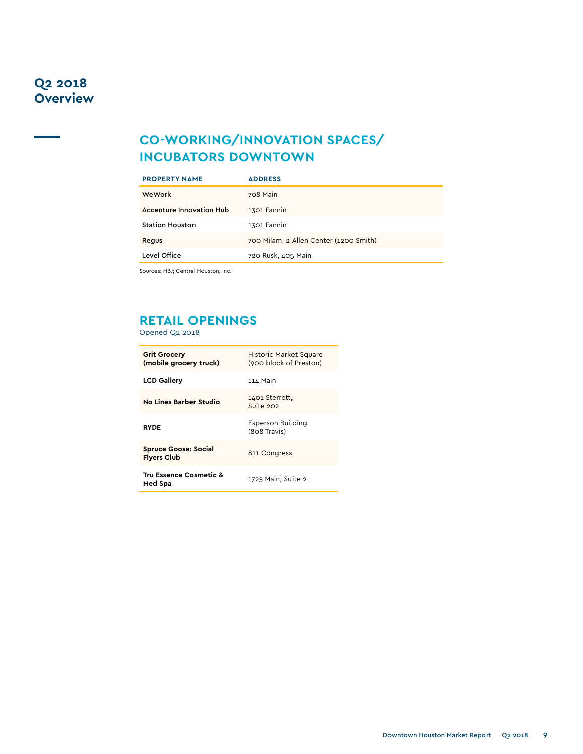# **Co-Working/innovation spaces/ Incubators Downtown**

| <b>PROPERTY NAME</b>            | <b>ADDRESS</b>                         |  |
|---------------------------------|----------------------------------------|--|
| WeWork                          | 708 Main                               |  |
| <b>Accenture Innovation Hub</b> | 1301 Fannin                            |  |
| <b>Station Houston</b>          | 1301 Fannin                            |  |
| Regus                           | 700 Milam, 2 Allen Center (1200 Smith) |  |
| Level Office                    | 720 Rusk, 405 Main                     |  |

Sources: HBJ; Central Houston, Inc.

# **Retail Openings**

Opened Q2 2018

| <b>Grit Grocery</b><br>(mobile grocery truck)     | Historic Market Square<br>(900 block of Preston) |
|---------------------------------------------------|--------------------------------------------------|
| <b>LCD Gallery</b>                                | 114 Main                                         |
| <b>No Lines Barber Studio</b>                     | 1401 Sterrett,<br>Suite 202                      |
| <b>RYDE</b>                                       | Esperson Building<br>(808 Travis)                |
| <b>Spruce Goose: Social</b><br><b>Flyers Club</b> | 811 Congress                                     |
| Tru Essence Cosmetic &<br>Med Spa                 | 1725 Main, Suite 2                               |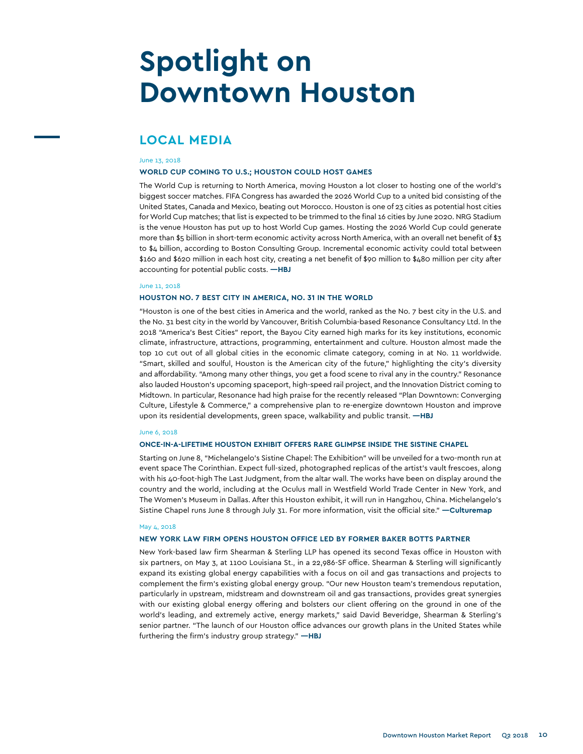# **Spotlight on Downtown Houston**

## **Local Media**

#### June 13, 2018

#### **WORLD CUP COMING TO U.S.; HOUSTON COULD HOST GAMES**

The World Cup is returning to North America, moving Houston a lot closer to hosting one of the world's biggest soccer matches. FIFA Congress has awarded the 2026 World Cup to a united bid consisting of the United States, Canada and Mexico, beating out Morocco. Houston is one of 23 cities as potential host cities for World Cup matches; that list is expected to be trimmed to the final 16 cities by June 2020. NRG Stadium is the venue Houston has put up to host World Cup games. Hosting the 2026 World Cup could generate more than \$5 billion in short-term economic activity across North America, with an overall net benefit of \$3 to \$4 billion, according to Boston Consulting Group. Incremental economic activity could total between \$160 and \$620 million in each host city, creating a net benefit of \$90 million to \$480 million per city after accounting for potential public costs. **—HBJ**

#### June 11, 2018

#### **HOUSTON NO. 7 BEST CITY IN AMERICA, NO. 31 IN THE WORLD**

"Houston is one of the best cities in America and the world, ranked as the No. 7 best city in the U.S. and the No. 31 best city in the world by Vancouver, British Columbia-based Resonance Consultancy Ltd. In the 2018 "America's Best Cities" report, the Bayou City earned high marks for its key institutions, economic climate, infrastructure, attractions, programming, entertainment and culture. Houston almost made the top 10 cut out of all global cities in the economic climate category, coming in at No. 11 worldwide. "Smart, skilled and soulful, Houston is the American city of the future," highlighting the city's diversity and affordability. "Among many other things, you get a food scene to rival any in the country." Resonance also lauded Houston's upcoming spaceport, high-speed rail project, and the Innovation District coming to Midtown. In particular, Resonance had high praise for the recently released "Plan Downtown: Converging Culture, Lifestyle & Commerce," a comprehensive plan to re-energize downtown Houston and improve upon its residential developments, green space, walkability and public transit. **—HBJ**

#### June 6, 2018

#### **ONCE-IN-A-LIFETIME HOUSTON EXHIBIT OFFERS RARE GLIMPSE INSIDE THE SISTINE CHAPEL**

Starting on June 8, "Michelangelo's Sistine Chapel: The Exhibition" will be unveiled for a two-month run at event space The Corinthian. Expect full-sized, photographed replicas of the artist's vault frescoes, along with his 40-foot-high The Last Judgment, from the altar wall. The works have been on display around the country and the world, including at the Oculus mall in Westfield World Trade Center in New York, and The Women's Museum in Dallas. After this Houston exhibit, it will run in Hangzhou, China. Michelangelo's Sistine Chapel runs June 8 through July 31. For more information, visit the official site." **—Culturemap**

#### May 4, 2018

### **NEW YORK LAW FIRM OPENS HOUSTON OFFICE LED BY FORMER BAKER BOTTS PARTNER**

New York-based law firm Shearman & Sterling LLP has opened its second Texas office in Houston with six partners, on May 3, at 1100 Louisiana St., in a 22,986-SF office. Shearman & Sterling will significantly expand its existing global energy capabilities with a focus on oil and gas transactions and projects to complement the firm's existing global energy group. "Our new Houston team's tremendous reputation, particularly in upstream, midstream and downstream oil and gas transactions, provides great synergies with our existing global energy offering and bolsters our client offering on the ground in one of the world's leading, and extremely active, energy markets," said David Beveridge, Shearman & Sterling's senior partner. "The launch of our Houston office advances our growth plans in the United States while furthering the firm's industry group strategy." **—HBJ**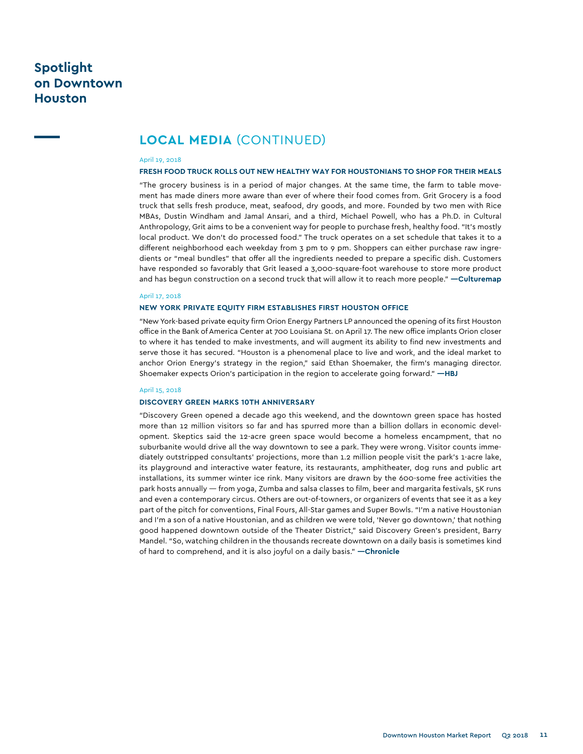# **Spotlight on Downtown Houston**

## **Local Media** (continued)

#### April 19, 2018

### **FRESH FOOD TRUCK ROLLS OUT NEW HEALTHY WAY FOR HOUSTONIANS TO SHOP FOR THEIR MEALS**

"The grocery business is in a period of major changes. At the same time, the farm to table movement has made diners more aware than ever of where their food comes from. Grit Grocery is a food truck that sells fresh produce, meat, seafood, dry goods, and more. Founded by two men with Rice MBAs, Dustin Windham and Jamal Ansari, and a third, Michael Powell, who has a Ph.D. in Cultural Anthropology, Grit aims to be a convenient way for people to purchase fresh, healthy food. "It's mostly local product. We don't do processed food." The truck operates on a set schedule that takes it to a different neighborhood each weekday from 3 pm to 9 pm. Shoppers can either purchase raw ingredients or "meal bundles" that offer all the ingredients needed to prepare a specific dish. Customers have responded so favorably that Grit leased a 3,000-square-foot warehouse to store more product and has begun construction on a second truck that will allow it to reach more people." **—Culturemap**

#### April 17, 2018

#### **NEW YORK PRIVATE EQUITY FIRM ESTABLISHES FIRST HOUSTON OFFICE**

"New York-based private equity firm Orion Energy Partners LP announced the opening of its first Houston office in the Bank of America Center at 700 Louisiana St. on April 17. The new office implants Orion closer to where it has tended to make investments, and will augment its ability to find new investments and serve those it has secured. "Houston is a phenomenal place to live and work, and the ideal market to anchor Orion Energy's strategy in the region," said Ethan Shoemaker, the firm's managing director. Shoemaker expects Orion's participation in the region to accelerate going forward." **—HBJ**

#### April 15, 2018

### **DISCOVERY GREEN MARKS 10TH ANNIVERSARY**

"Discovery Green opened a decade ago this weekend, and the downtown green space has hosted more than 12 million visitors so far and has spurred more than a billion dollars in economic development. Skeptics said the 12-acre green space would become a homeless encampment, that no suburbanite would drive all the way downtown to see a park. They were wrong. Visitor counts immediately outstripped consultants' projections, more than 1.2 million people visit the park's 1-acre lake, its playground and interactive water feature, its restaurants, amphitheater, dog runs and public art installations, its summer winter ice rink. Many visitors are drawn by the 600-some free activities the park hosts annually — from yoga, Zumba and salsa classes to film, beer and margarita festivals, 5K runs and even a contemporary circus. Others are out-of-towners, or organizers of events that see it as a key part of the pitch for conventions, Final Fours, All-Star games and Super Bowls. "I'm a native Houstonian and I'm a son of a native Houstonian, and as children we were told, 'Never go downtown,' that nothing good happened downtown outside of the Theater District," said Discovery Green's president, Barry Mandel. "So, watching children in the thousands recreate downtown on a daily basis is sometimes kind of hard to comprehend, and it is also joyful on a daily basis." **—Chronicle**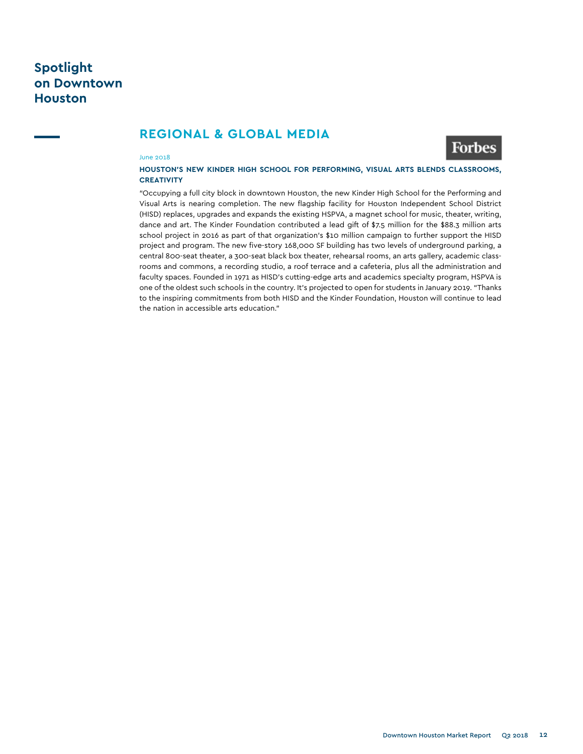# **Spotlight on Downtown Houston**

## **Regional & Global Media**



## June 2018

## **HOUSTON'S NEW KINDER HIGH SCHOOL FOR PERFORMING, VISUAL ARTS BLENDS CLASSROOMS, CREATIVITY**

"Occupying a full city block in downtown Houston, the new Kinder High School for the Performing and Visual Arts is nearing completion. The new flagship facility for Houston Independent School District (HISD) replaces, upgrades and expands the existing HSPVA, a magnet school for music, theater, writing, dance and art. The Kinder Foundation contributed a lead gift of \$7.5 million for the \$88.3 million arts school project in 2016 as part of that organization's \$10 million campaign to further support the HISD project and program. The new five-story 168,000 SF building has two levels of underground parking, a central 800-seat theater, a 300-seat black box theater, rehearsal rooms, an arts gallery, academic classrooms and commons, a recording studio, a roof terrace and a cafeteria, plus all the administration and faculty spaces. Founded in 1971 as HISD's cutting-edge arts and academics specialty program, HSPVA is one of the oldest such schools in the country. It's projected to open for students in January 2019. "Thanks to the inspiring commitments from both HISD and the Kinder Foundation, Houston will continue to lead the nation in accessible arts education."